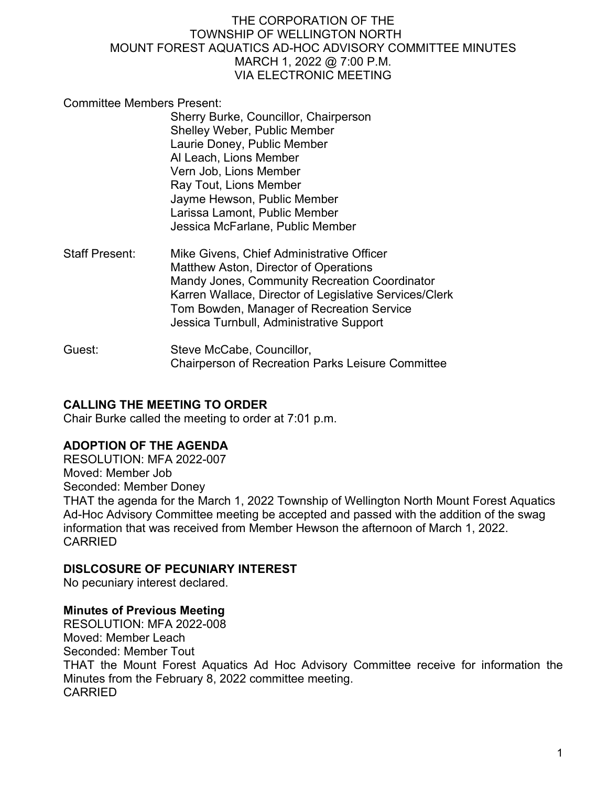Committee Members Present:

Sherry Burke, Councillor, Chairperson Shelley Weber, Public Member Laurie Doney, Public Member Al Leach, Lions Member Vern Job, Lions Member Ray Tout, Lions Member Jayme Hewson, Public Member Larissa Lamont, Public Member Jessica McFarlane, Public Member

- Staff Present: Mike Givens, Chief Administrative Officer Matthew Aston, Director of Operations Mandy Jones, Community Recreation Coordinator Karren Wallace, Director of Legislative Services/Clerk Tom Bowden, Manager of Recreation Service Jessica Turnbull, Administrative Support
- Guest: Steve McCabe, Councillor, Chairperson of Recreation Parks Leisure Committee

# **CALLING THE MEETING TO ORDER**

Chair Burke called the meeting to order at 7:01 p.m.

## **ADOPTION OF THE AGENDA**

RESOLUTION: MFA 2022-007 Moved: Member Job Seconded: Member Doney THAT the agenda for the March 1, 2022 Township of Wellington North Mount Forest Aquatics Ad-Hoc Advisory Committee meeting be accepted and passed with the addition of the swag information that was received from Member Hewson the afternoon of March 1, 2022. CARRIED

## **DISLCOSURE OF PECUNIARY INTEREST**

No pecuniary interest declared.

## **Minutes of Previous Meeting**

RESOLUTION: MFA 2022-008 Moved: Member Leach Seconded: Member Tout THAT the Mount Forest Aquatics Ad Hoc Advisory Committee receive for information the Minutes from the February 8, 2022 committee meeting. CARRIED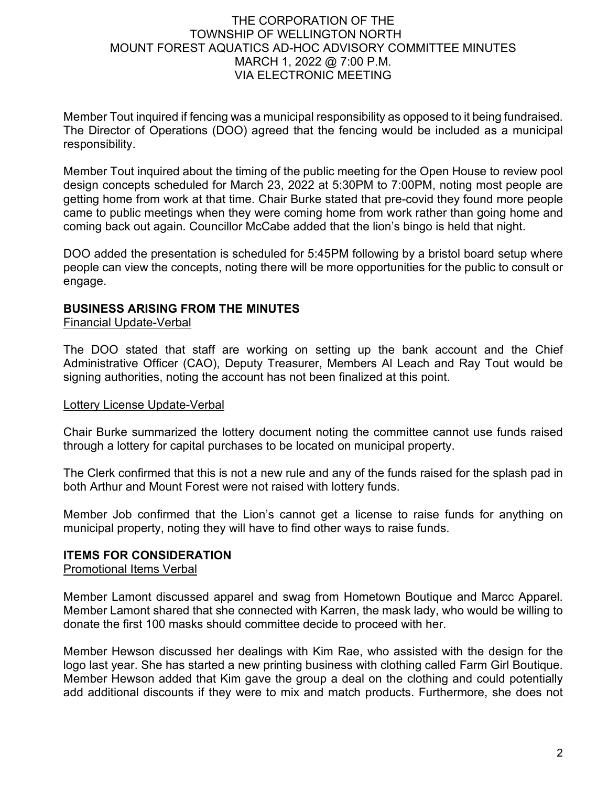Member Tout inquired if fencing was a municipal responsibility as opposed to it being fundraised. The Director of Operations (DOO) agreed that the fencing would be included as a municipal responsibility.

Member Tout inquired about the timing of the public meeting for the Open House to review pool design concepts scheduled for March 23, 2022 at 5:30PM to 7:00PM, noting most people are getting home from work at that time. Chair Burke stated that pre-covid they found more people came to public meetings when they were coming home from work rather than going home and coming back out again. Councillor McCabe added that the lion's bingo is held that night.

DOO added the presentation is scheduled for 5:45PM following by a bristol board setup where people can view the concepts, noting there will be more opportunities for the public to consult or engage.

#### **BUSINESS ARISING FROM THE MINUTES**

Financial Update-Verbal

The DOO stated that staff are working on setting up the bank account and the Chief Administrative Officer (CAO), Deputy Treasurer, Members Al Leach and Ray Tout would be signing authorities, noting the account has not been finalized at this point.

#### Lottery License Update-Verbal

Chair Burke summarized the lottery document noting the committee cannot use funds raised through a lottery for capital purchases to be located on municipal property.

The Clerk confirmed that this is not a new rule and any of the funds raised for the splash pad in both Arthur and Mount Forest were not raised with lottery funds.

Member Job confirmed that the Lion's cannot get a license to raise funds for anything on municipal property, noting they will have to find other ways to raise funds.

#### **ITEMS FOR CONSIDERATION**

Promotional Items Verbal

Member Lamont discussed apparel and swag from Hometown Boutique and Marcc Apparel. Member Lamont shared that she connected with Karren, the mask lady, who would be willing to donate the first 100 masks should committee decide to proceed with her.

Member Hewson discussed her dealings with Kim Rae, who assisted with the design for the logo last year. She has started a new printing business with clothing called Farm Girl Boutique. Member Hewson added that Kim gave the group a deal on the clothing and could potentially add additional discounts if they were to mix and match products. Furthermore, she does not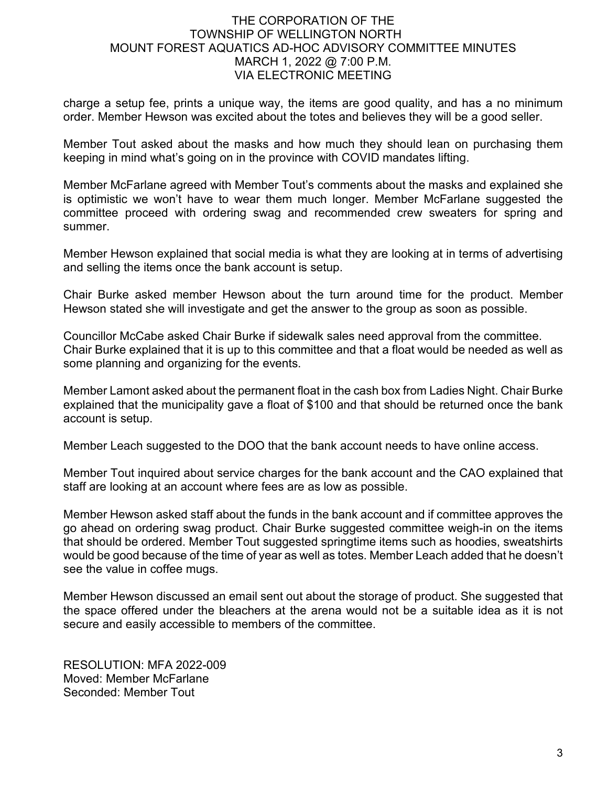charge a setup fee, prints a unique way, the items are good quality, and has a no minimum order. Member Hewson was excited about the totes and believes they will be a good seller.

Member Tout asked about the masks and how much they should lean on purchasing them keeping in mind what's going on in the province with COVID mandates lifting.

Member McFarlane agreed with Member Tout's comments about the masks and explained she is optimistic we won't have to wear them much longer. Member McFarlane suggested the committee proceed with ordering swag and recommended crew sweaters for spring and summer.

Member Hewson explained that social media is what they are looking at in terms of advertising and selling the items once the bank account is setup.

Chair Burke asked member Hewson about the turn around time for the product. Member Hewson stated she will investigate and get the answer to the group as soon as possible.

Councillor McCabe asked Chair Burke if sidewalk sales need approval from the committee. Chair Burke explained that it is up to this committee and that a float would be needed as well as some planning and organizing for the events.

Member Lamont asked about the permanent float in the cash box from Ladies Night. Chair Burke explained that the municipality gave a float of \$100 and that should be returned once the bank account is setup.

Member Leach suggested to the DOO that the bank account needs to have online access.

Member Tout inquired about service charges for the bank account and the CAO explained that staff are looking at an account where fees are as low as possible.

Member Hewson asked staff about the funds in the bank account and if committee approves the go ahead on ordering swag product. Chair Burke suggested committee weigh-in on the items that should be ordered. Member Tout suggested springtime items such as hoodies, sweatshirts would be good because of the time of year as well as totes. Member Leach added that he doesn't see the value in coffee mugs.

Member Hewson discussed an email sent out about the storage of product. She suggested that the space offered under the bleachers at the arena would not be a suitable idea as it is not secure and easily accessible to members of the committee.

RESOLUTION: MFA 2022-009 Moved: Member McFarlane Seconded: Member Tout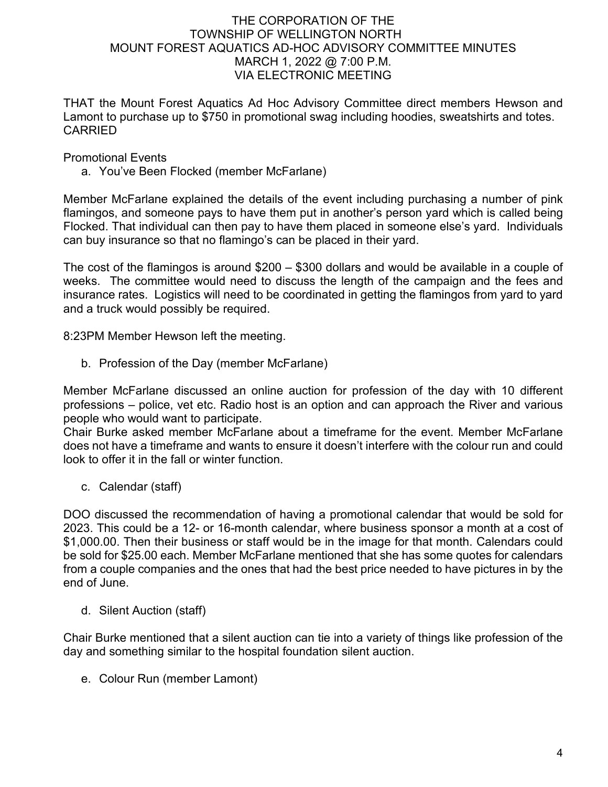THAT the Mount Forest Aquatics Ad Hoc Advisory Committee direct members Hewson and Lamont to purchase up to \$750 in promotional swag including hoodies, sweatshirts and totes. CARRIED

#### Promotional Events

a. You've Been Flocked (member McFarlane)

Member McFarlane explained the details of the event including purchasing a number of pink flamingos, and someone pays to have them put in another's person yard which is called being Flocked. That individual can then pay to have them placed in someone else's yard. Individuals can buy insurance so that no flamingo's can be placed in their yard.

The cost of the flamingos is around \$200 – \$300 dollars and would be available in a couple of weeks. The committee would need to discuss the length of the campaign and the fees and insurance rates. Logistics will need to be coordinated in getting the flamingos from yard to yard and a truck would possibly be required.

8:23PM Member Hewson left the meeting.

b. Profession of the Day (member McFarlane)

Member McFarlane discussed an online auction for profession of the day with 10 different professions – police, vet etc. Radio host is an option and can approach the River and various people who would want to participate.

Chair Burke asked member McFarlane about a timeframe for the event. Member McFarlane does not have a timeframe and wants to ensure it doesn't interfere with the colour run and could look to offer it in the fall or winter function.

c. Calendar (staff)

DOO discussed the recommendation of having a promotional calendar that would be sold for 2023. This could be a 12- or 16-month calendar, where business sponsor a month at a cost of \$1,000.00. Then their business or staff would be in the image for that month. Calendars could be sold for \$25.00 each. Member McFarlane mentioned that she has some quotes for calendars from a couple companies and the ones that had the best price needed to have pictures in by the end of June.

d. Silent Auction (staff)

Chair Burke mentioned that a silent auction can tie into a variety of things like profession of the day and something similar to the hospital foundation silent auction.

e. Colour Run (member Lamont)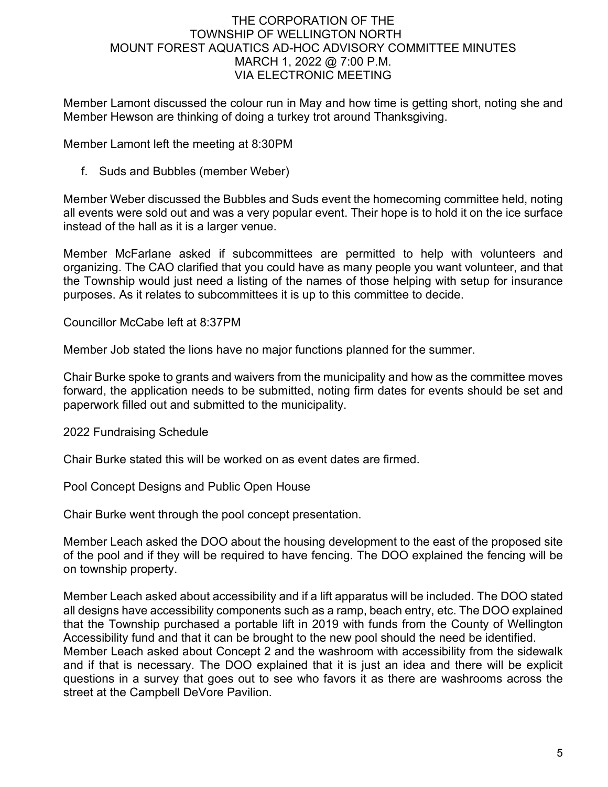Member Lamont discussed the colour run in May and how time is getting short, noting she and Member Hewson are thinking of doing a turkey trot around Thanksgiving.

Member Lamont left the meeting at 8:30PM

f. Suds and Bubbles (member Weber)

Member Weber discussed the Bubbles and Suds event the homecoming committee held, noting all events were sold out and was a very popular event. Their hope is to hold it on the ice surface instead of the hall as it is a larger venue.

Member McFarlane asked if subcommittees are permitted to help with volunteers and organizing. The CAO clarified that you could have as many people you want volunteer, and that the Township would just need a listing of the names of those helping with setup for insurance purposes. As it relates to subcommittees it is up to this committee to decide.

Councillor McCabe left at 8:37PM

Member Job stated the lions have no major functions planned for the summer.

Chair Burke spoke to grants and waivers from the municipality and how as the committee moves forward, the application needs to be submitted, noting firm dates for events should be set and paperwork filled out and submitted to the municipality.

2022 Fundraising Schedule

Chair Burke stated this will be worked on as event dates are firmed.

Pool Concept Designs and Public Open House

Chair Burke went through the pool concept presentation.

Member Leach asked the DOO about the housing development to the east of the proposed site of the pool and if they will be required to have fencing. The DOO explained the fencing will be on township property.

Member Leach asked about accessibility and if a lift apparatus will be included. The DOO stated all designs have accessibility components such as a ramp, beach entry, etc. The DOO explained that the Township purchased a portable lift in 2019 with funds from the County of Wellington Accessibility fund and that it can be brought to the new pool should the need be identified. Member Leach asked about Concept 2 and the washroom with accessibility from the sidewalk and if that is necessary. The DOO explained that it is just an idea and there will be explicit questions in a survey that goes out to see who favors it as there are washrooms across the street at the Campbell DeVore Pavilion.